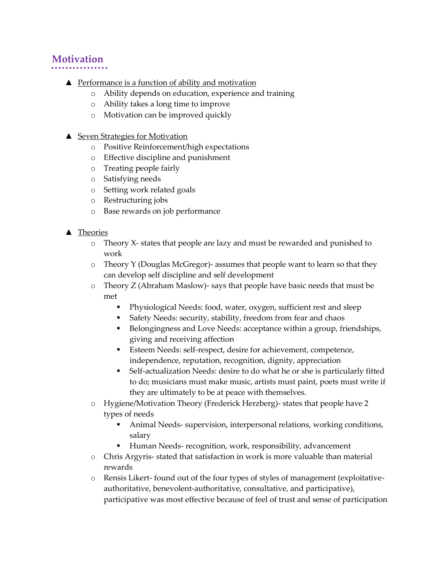## **Motivation**

- **▲** Performance is a function of ability and motivation
	- o Ability depends on education, experience and training
	- o Ability takes a long time to improve
	- o Motivation can be improved quickly
- ▲ Seven Strategies for Motivation
	- o Positive Reinforcement/high expectations
	- o Effective discipline and punishment
	- o Treating people fairly
	- o Satisfying needs
	- o Setting work related goals
	- o Restructuring jobs
	- o Base rewards on job performance

## ▲ Theories

- o Theory X- states that people are lazy and must be rewarded and punished to work
- o Theory Y (Douglas McGregor)- assumes that people want to learn so that they can develop self discipline and self development
- $\circ$  Theory Z (Abraham Maslow)- says that people have basic needs that must be met
	- Physiological Needs: food, water, oxygen, sufficient rest and sleep
	- Safety Needs: security, stability, freedom from fear and chaos
	- Belongingness and Love Needs: acceptance within a group, friendships, giving and receiving affection
	- Esteem Needs: self-respect, desire for achievement, competence, independence, reputation, recognition, dignity, appreciation
	- Self-actualization Needs: desire to do what he or she is particularly fitted to do; musicians must make music, artists must paint, poets must write if they are ultimately to be at peace with themselves.
- o Hygiene/Motivation Theory (Frederick Herzberg)- states that people have 2 types of needs
	- Animal Needs- supervision, interpersonal relations, working conditions, salary
	- Human Needs- recognition, work, responsibility, advancement
- o Chris Argyris- stated that satisfaction in work is more valuable than material rewards
- o Rensis Likert- found out of the four types of styles of management (exploitativeauthoritative, benevolent-authoritative, consultative, and participative), participative was most effective because of feel of trust and sense of participation